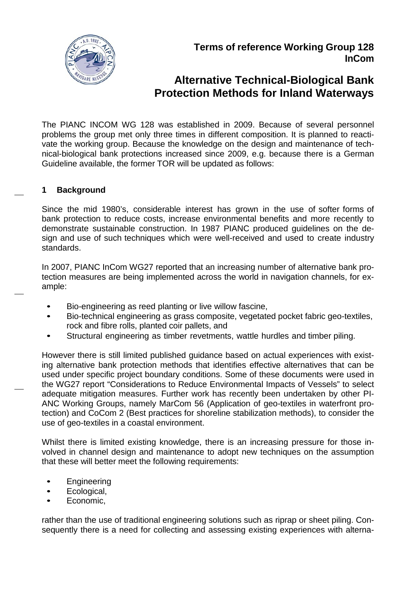

# **Alternative Technical-Biological Bank Protection Methods for Inland Waterways**

The PIANC INCOM WG 128 was established in 2009. Because of several personnel problems the group met only three times in different composition. It is planned to reactivate the working group. Because the knowledge on the design and maintenance of technical-biological bank protections increased since 2009, e.g. because there is a German Guideline available, the former TOR will be updated as follows:

#### **1 Background**

 $\overline{\phantom{0}}$ 

e.

e.

Since the mid 1980's, considerable interest has grown in the use of softer forms of bank protection to reduce costs, increase environmental benefits and more recently to demonstrate sustainable construction. In 1987 PIANC produced guidelines on the design and use of such techniques which were well-received and used to create industry standards.

In 2007, PIANC InCom WG27 reported that an increasing number of alternative bank protection measures are being implemented across the world in navigation channels, for example:

- Bio-engineering as reed planting or live willow fascine,
- Bio-technical engineering as grass composite, vegetated pocket fabric geo-textiles, rock and fibre rolls, planted coir pallets, and
- Structural engineering as timber revetments, wattle hurdles and timber piling.

However there is still limited published guidance based on actual experiences with existing alternative bank protection methods that identifies effective alternatives that can be used under specific project boundary conditions. Some of these documents were used in the WG27 report "Considerations to Reduce Environmental Impacts of Vessels" to select adequate mitigation measures. Further work has recently been undertaken by other PI-ANC Working Groups, namely MarCom 56 (Application of geo-textiles in waterfront protection) and CoCom 2 (Best practices for shoreline stabilization methods), to consider the use of geo-textiles in a coastal environment.

Whilst there is limited existing knowledge, there is an increasing pressure for those involved in channel design and maintenance to adopt new techniques on the assumption that these will better meet the following requirements:

- **Engineering**
- Ecological,
- Economic,

rather than the use of traditional engineering solutions such as riprap or sheet piling. Consequently there is a need for collecting and assessing existing experiences with alterna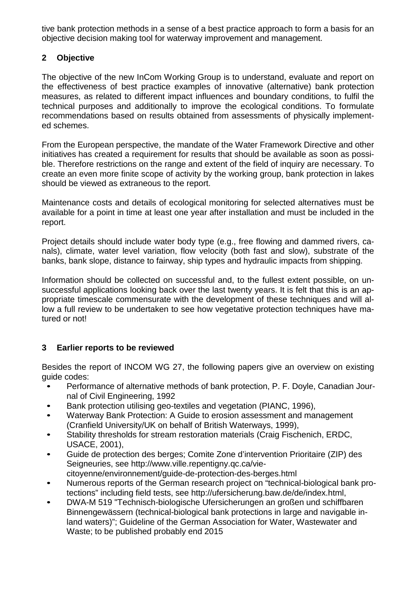tive bank protection methods in a sense of a best practice approach to form a basis for an objective decision making tool for waterway improvement and management.

## **2 Objective**

The objective of the new InCom Working Group is to understand, evaluate and report on the effectiveness of best practice examples of innovative (alternative) bank protection measures, as related to different impact influences and boundary conditions, to fulfil the technical purposes and additionally to improve the ecological conditions. To formulate recommendations based on results obtained from assessments of physically implemented schemes.

From the European perspective, the mandate of the Water Framework Directive and other initiatives has created a requirement for results that should be available as soon as possible. Therefore restrictions on the range and extent of the field of inquiry are necessary. To create an even more finite scope of activity by the working group, bank protection in lakes should be viewed as extraneous to the report.

Maintenance costs and details of ecological monitoring for selected alternatives must be available for a point in time at least one year after installation and must be included in the report.

Project details should include water body type (e.g., free flowing and dammed rivers, canals), climate, water level variation, flow velocity (both fast and slow), substrate of the banks, bank slope, distance to fairway, ship types and hydraulic impacts from shipping.

Information should be collected on successful and, to the fullest extent possible, on unsuccessful applications looking back over the last twenty years. It is felt that this is an appropriate timescale commensurate with the development of these techniques and will allow a full review to be undertaken to see how vegetative protection techniques have matured or not!

# **3 Earlier reports to be reviewed**

Besides the report of INCOM WG 27, the following papers give an overview on existing guide codes:

- Performance of alternative methods of bank protection, P. F. Doyle, Canadian Journal of Civil Engineering, 1992
- Bank protection utilising geo-textiles and vegetation (PIANC, 1996),
- Waterway Bank Protection: A Guide to erosion assessment and management (Cranfield University/UK on behalf of British Waterways, 1999),
- Stability thresholds for stream restoration materials (Craig Fischenich, ERDC, USACE, 2001),
- Guide de protection des berges; Comite Zone d'intervention Prioritaire (ZIP) des Seigneuries, see http://www.ville.repentigny.qc.ca/viecitoyenne/environnement/guide-de-protection-des-berges.html
- Numerous reports of the German research project on "technical-biological bank protections" including field tests, see http://ufersicherung.baw.de/de/index.html,
- DWA-M 519 "Technisch-biologische Ufersicherungen an großen und schiffbaren Binnengewässern (technical-biological bank protections in large and navigable inland waters)"; Guideline of the German Association for Water, Wastewater and Waste; to be published probably end 2015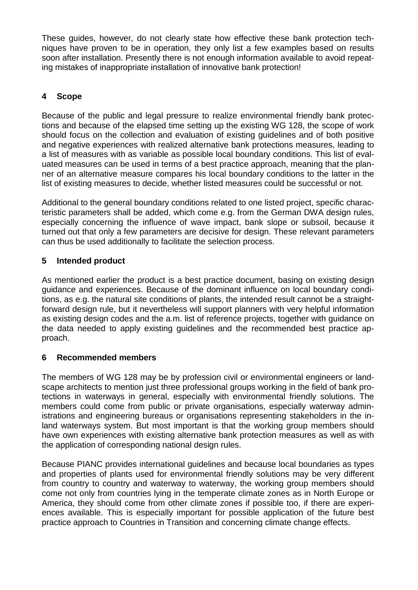These guides, however, do not clearly state how effective these bank protection techniques have proven to be in operation, they only list a few examples based on results soon after installation. Presently there is not enough information available to avoid repeating mistakes of inappropriate installation of innovative bank protection!

## **4 Scope**

Because of the public and legal pressure to realize environmental friendly bank protections and because of the elapsed time setting up the existing WG 128, the scope of work should focus on the collection and evaluation of existing guidelines and of both positive and negative experiences with realized alternative bank protections measures, leading to a list of measures with as variable as possible local boundary conditions. This list of evaluated measures can be used in terms of a best practice approach, meaning that the planner of an alternative measure compares his local boundary conditions to the latter in the list of existing measures to decide, whether listed measures could be successful or not.

Additional to the general boundary conditions related to one listed project, specific characteristic parameters shall be added, which come e.g. from the German DWA design rules, especially concerning the influence of wave impact, bank slope or subsoil, because it turned out that only a few parameters are decisive for design. These relevant parameters can thus be used additionally to facilitate the selection process.

## **5 Intended product**

As mentioned earlier the product is a best practice document, basing on existing design guidance and experiences. Because of the dominant influence on local boundary conditions, as e.g. the natural site conditions of plants, the intended result cannot be a straightforward design rule, but it nevertheless will support planners with very helpful information as existing design codes and the a.m. list of reference projects, together with guidance on the data needed to apply existing guidelines and the recommended best practice approach.

## **6 Recommended members**

The members of WG 128 may be by profession civil or environmental engineers or landscape architects to mention just three professional groups working in the field of bank protections in waterways in general, especially with environmental friendly solutions. The members could come from public or private organisations, especially waterway administrations and engineering bureaus or organisations representing stakeholders in the inland waterways system. But most important is that the working group members should have own experiences with existing alternative bank protection measures as well as with the application of corresponding national design rules.

Because PIANC provides international guidelines and because local boundaries as types and properties of plants used for environmental friendly solutions may be very different from country to country and waterway to waterway, the working group members should come not only from countries lying in the temperate climate zones as in North Europe or America, they should come from other climate zones if possible too, if there are experiences available. This is especially important for possible application of the future best practice approach to Countries in Transition and concerning climate change effects.